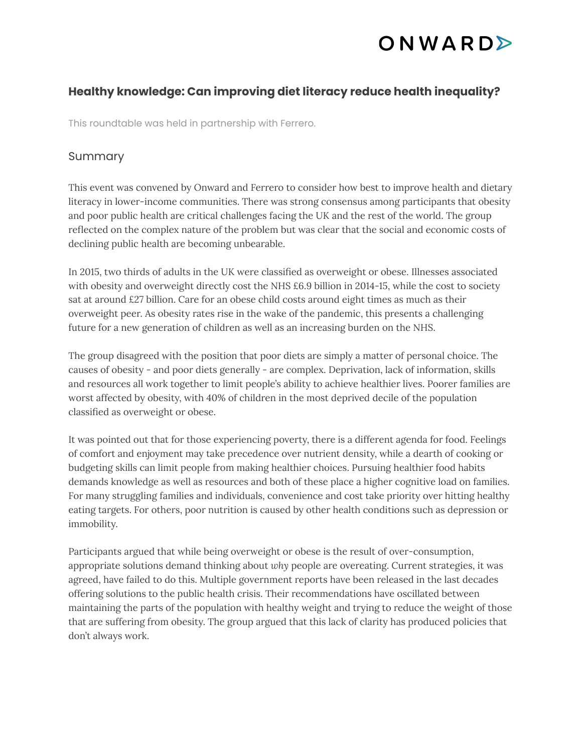### ONWARDS

#### **Healthy knowledge: Can improving diet literacy reduce health inequality?**

This roundtable was held in partnership with Ferrero.

#### Summary

This event was convened by Onward and Ferrero to consider how best to improve health and dietary literacy in lower-income communities. There was strong consensus among participants that obesity and poor public health are critical challenges facing the UK and the rest of the world. The group reflected on the complex nature of the problem but was clear that the social and economic costs of declining public health are becoming unbearable.

In 2015, two thirds of adults in the UK were classified as overweight or obese. Illnesses associated with obesity and overweight directly cost the NHS £6.9 billion in 2014-15, while the cost to society sat at around £27 billion. Care for an obese child costs around eight times as much as their overweight peer. As obesity rates rise in the wake of the pandemic, this presents a challenging future for a new generation of children as well as an increasing burden on the NHS.

The group disagreed with the position that poor diets are simply a matter of personal choice. The causes of obesity - and poor diets generally - are complex. Deprivation, lack of information, skills and resources all work together to limit people's ability to achieve healthier lives. Poorer families are worst affected by obesity, with 40% of children in the most deprived decile of the population classified as overweight or obese.

It was pointed out that for those experiencing poverty, there is a different agenda for food. Feelings of comfort and enjoyment may take precedence over nutrient density, while a dearth of cooking or budgeting skills can limit people from making healthier choices. Pursuing healthier food habits demands knowledge as well as resources and both of these place a higher cognitive load on families. For many struggling families and individuals, convenience and cost take priority over hitting healthy eating targets. For others, poor nutrition is caused by other health conditions such as depression or immobility.

Participants argued that while being overweight or obese is the result of over-consumption, appropriate solutions demand thinking about *why* people are overeating. Current strategies, it was agreed, have failed to do this. Multiple government reports have been released in the last decades offering solutions to the public health crisis. Their recommendations have oscillated between maintaining the parts of the population with healthy weight and trying to reduce the weight of those that are suffering from obesity. The group argued that this lack of clarity has produced policies that don't always work.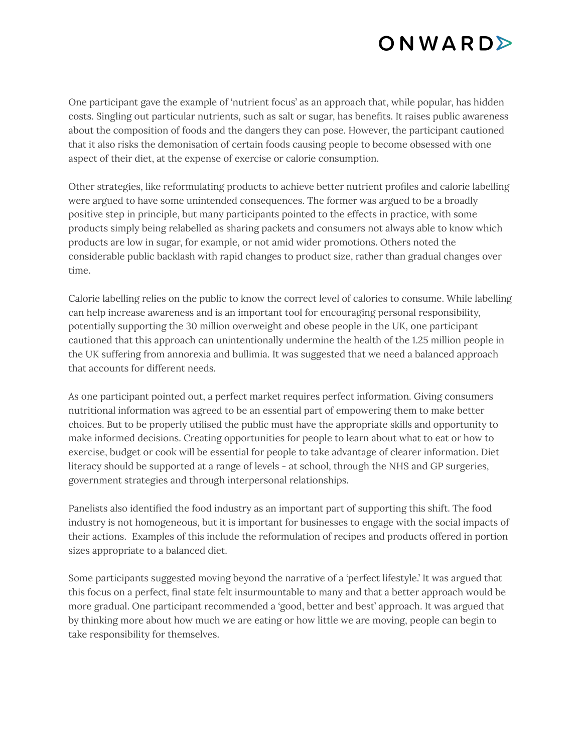## ONWARDS

One participant gave the example of 'nutrient focus' as an approach that, while popular, has hidden costs. Singling out particular nutrients, such as salt or sugar, has benefits. It raises public awareness about the composition of foods and the dangers they can pose. However, the participant cautioned that it also risks the demonisation of certain foods causing people to become obsessed with one aspect of their diet, at the expense of exercise or calorie consumption.

Other strategies, like reformulating products to achieve better nutrient profiles and calorie labelling were argued to have some unintended consequences. The former was argued to be a broadly positive step in principle, but many participants pointed to the effects in practice, with some products simply being relabelled as sharing packets and consumers not always able to know which products are low in sugar, for example, or not amid wider promotions. Others noted the considerable public backlash with rapid changes to product size, rather than gradual changes over time.

Calorie labelling relies on the public to know the correct level of calories to consume. While labelling can help increase awareness and is an important tool for encouraging personal responsibility, potentially supporting the 30 million overweight and obese people in the UK, one participant cautioned that this approach can unintentionally undermine the health of the 1.25 million people in the UK suffering from annorexia and bullimia. It was suggested that we need a balanced approach that accounts for different needs.

As one participant pointed out, a perfect market requires perfect information. Giving consumers nutritional information was agreed to be an essential part of empowering them to make better choices. But to be properly utilised the public must have the appropriate skills and opportunity to make informed decisions. Creating opportunities for people to learn about what to eat or how to exercise, budget or cook will be essential for people to take advantage of clearer information. Diet literacy should be supported at a range of levels - at school, through the NHS and GP surgeries, government strategies and through interpersonal relationships.

Panelists also identified the food industry as an important part of supporting this shift. The food industry is not homogeneous, but it is important for businesses to engage with the social impacts of their actions. Examples of this include the reformulation of recipes and products offered in portion sizes appropriate to a balanced diet.

Some participants suggested moving beyond the narrative of a 'perfect lifestyle.' It was argued that this focus on a perfect, final state felt insurmountable to many and that a better approach would be more gradual. One participant recommended a 'good, better and best' approach. It was argued that by thinking more about how much we are eating or how little we are moving, people can begin to take responsibility for themselves.